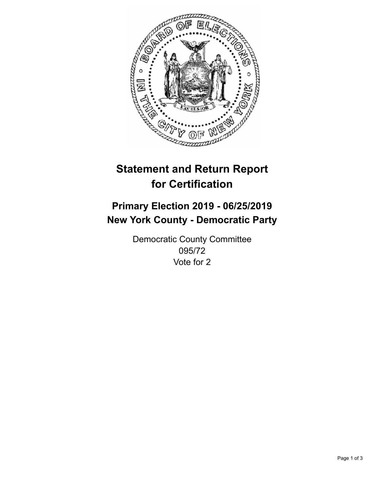

## **Statement and Return Report for Certification**

## **Primary Election 2019 - 06/25/2019 New York County - Democratic Party**

Democratic County Committee 095/72 Vote for 2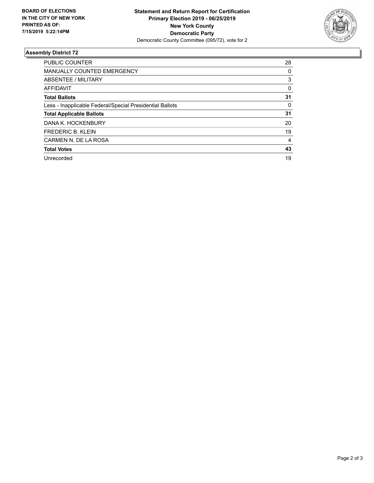

## **Assembly District 72**

| <b>PUBLIC COUNTER</b>                                    | 28 |
|----------------------------------------------------------|----|
| <b>MANUALLY COUNTED EMERGENCY</b>                        | 0  |
| ABSENTEE / MILITARY                                      | 3  |
| <b>AFFIDAVIT</b>                                         | 0  |
| <b>Total Ballots</b>                                     | 31 |
| Less - Inapplicable Federal/Special Presidential Ballots | 0  |
| <b>Total Applicable Ballots</b>                          | 31 |
| DANA K. HOCKENBURY                                       | 20 |
| <b>FREDERIC B. KLEIN</b>                                 | 19 |
| CARMEN N. DE LA ROSA                                     | 4  |
| <b>Total Votes</b>                                       | 43 |
| Unrecorded                                               | 19 |